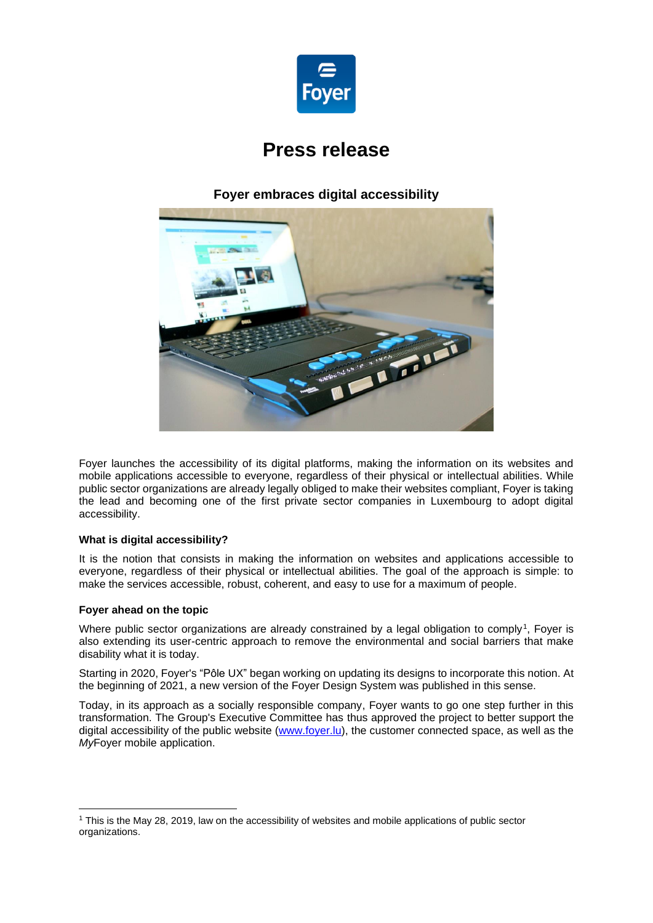

# **Press release**

## **Foyer embraces digital accessibility**



Foyer launches the accessibility of its digital platforms, making the information on its websites and mobile applications accessible to everyone, regardless of their physical or intellectual abilities. While public sector organizations are already legally obliged to make their websites compliant, Foyer is taking the lead and becoming one of the first private sector companies in Luxembourg to adopt digital accessibility.

### **What is digital accessibility?**

It is the notion that consists in making the information on websites and applications accessible to everyone, regardless of their physical or intellectual abilities. The goal of the approach is simple: to make the services accessible, robust, coherent, and easy to use for a maximum of people.

### **Foyer ahead on the topic**

Where public sector organizations are already constrained by a legal obligation to comply<sup>1</sup>, Foyer is also extending its user-centric approach to remove the environmental and social barriers that make disability what it is today.

Starting in 2020, Foyer's "Pôle UX" began working on updating its designs to incorporate this notion. At the beginning of 2021, a new version of the Foyer Design System was published in this sense.

Today, in its approach as a socially responsible company, Foyer wants to go one step further in this transformation. The Group's Executive Committee has thus approved the project to better support the digital accessibility of the public website [\(www.foyer.lu\)](http://www.foyer.lu/), the customer connected space, as well as the *My*Foyer mobile application.

<sup>1</sup> This is the May 28, 2019, law on the accessibility of websites and mobile applications of public sector organizations.